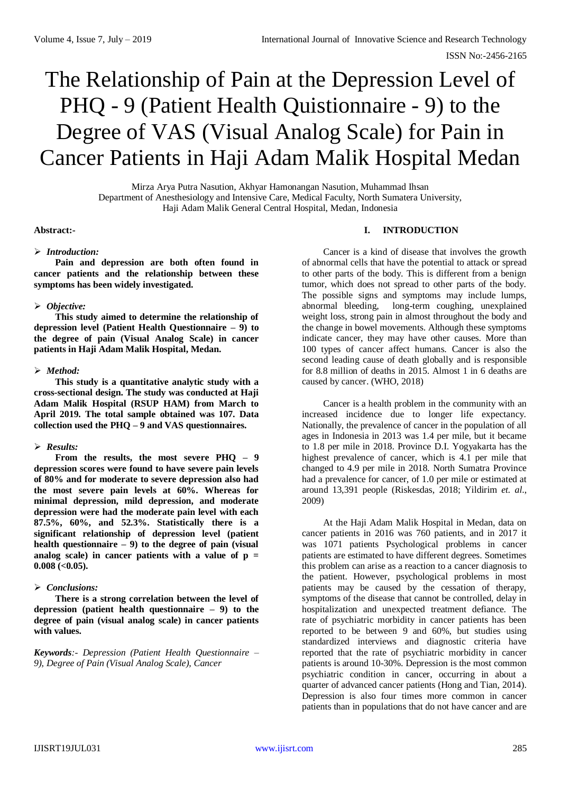# The Relationship of Pain at the Depression Level of PHQ - 9 (Patient Health Quistionnaire - 9) to the Degree of VAS (Visual Analog Scale) for Pain in Cancer Patients in Haji Adam Malik Hospital Medan

Mirza Arya Putra Nasution, Akhyar Hamonangan Nasution, Muhammad Ihsan Department of Anesthesiology and Intensive Care, Medical Faculty, North Sumatera University, Haji Adam Malik General Central Hospital, Medan, Indonesia

#### **Abstract:-**

#### *Introduction:*

**Pain and depression are both often found in cancer patients and the relationship between these symptoms has been widely investigated.**

#### *Objective:*

**This study aimed to determine the relationship of depression level (Patient Health Questionnaire – 9) to the degree of pain (Visual Analog Scale) in cancer patients in Haji Adam Malik Hospital, Medan.**

#### *Method:*

**This study is a quantitative analytic study with a cross-sectional design. The study was conducted at Haji Adam Malik Hospital (RSUP HAM) from March to April 2019. The total sample obtained was 107. Data collection used the PHQ – 9 and VAS questionnaires.** 

## *Results:*

**From the results, the most severe PHQ – 9 depression scores were found to have severe pain levels of 80% and for moderate to severe depression also had the most severe pain levels at 60%. Whereas for minimal depression, mild depression, and moderate depression were had the moderate pain level with each 87.5%, 60%, and 52.3%. Statistically there is a significant relationship of depression level (patient health questionnaire – 9) to the degree of pain (visual analog scale) in cancer patients with a value of p = 0.008 (<0.05).**

## *Conclusions:*

**There is a strong correlation between the level of depression (patient health questionnaire – 9) to the degree of pain (visual analog scale) in cancer patients with values.**

*Keywords:- Depression (Patient Health Questionnaire – 9), Degree of Pain (Visual Analog Scale), Cancer*

# **I. INTRODUCTION**

Cancer is a kind of disease that involves the growth of abnormal cells that have the potential to attack or spread to other parts of the body. This is different from a benign tumor, which does not spread to other parts of the body. The possible signs and symptoms may include lumps, abnormal bleeding, long-term coughing, unexplained weight loss, strong pain in almost throughout the body and the change in bowel movements. Although these symptoms indicate cancer, they may have other causes. More than 100 types of cancer affect humans. Cancer is also the second leading cause of death globally and is responsible for 8.8 million of deaths in 2015. Almost 1 in 6 deaths are caused by cancer. (WHO, 2018)

Cancer is a health problem in the community with an increased incidence due to longer life expectancy. Nationally, the prevalence of cancer in the population of all ages in Indonesia in 2013 was 1.4 per mile, but it became to 1.8 per mile in 2018. Province D.I. Yogyakarta has the highest prevalence of cancer, which is 4.1 per mile that changed to 4.9 per mile in 2018. North Sumatra Province had a prevalence for cancer, of 1.0 per mile or estimated at around 13,391 people (Riskesdas, 2018; Yildirim *et. al*., 2009)

At the Haji Adam Malik Hospital in Medan, data on cancer patients in 2016 was 760 patients, and in 2017 it was 1071 patients Psychological problems in cancer patients are estimated to have different degrees. Sometimes this problem can arise as a reaction to a cancer diagnosis to the patient. However, psychological problems in most patients may be caused by the cessation of therapy, symptoms of the disease that cannot be controlled, delay in hospitalization and unexpected treatment defiance. The rate of psychiatric morbidity in cancer patients has been reported to be between 9 and 60%, but studies using standardized interviews and diagnostic criteria have reported that the rate of psychiatric morbidity in cancer patients is around 10-30%. Depression is the most common psychiatric condition in cancer, occurring in about a quarter of advanced cancer patients (Hong and Tian, 2014). Depression is also four times more common in cancer patients than in populations that do not have cancer and are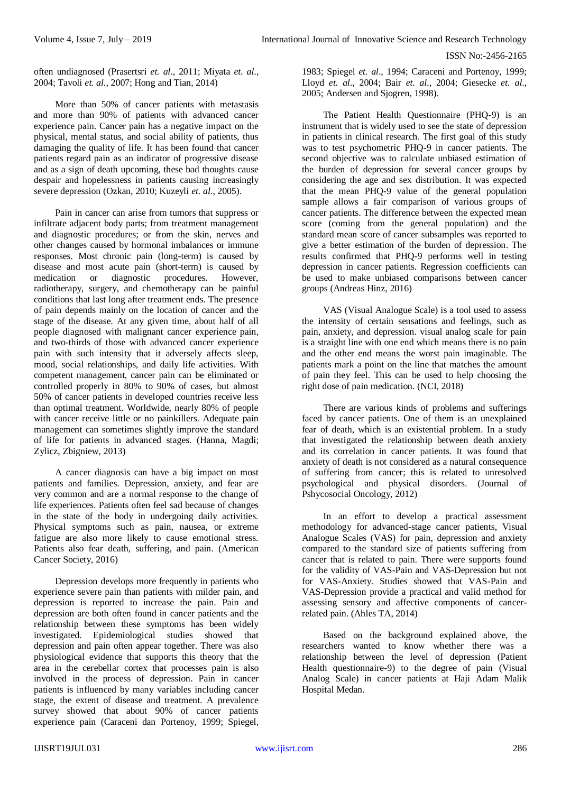often undiagnosed (Prasertsri *et. al*., 2011; Miyata *et. al*., 2004; Tavoli *et. al*., 2007; Hong and Tian, 2014)

More than 50% of cancer patients with metastasis and more than 90% of patients with advanced cancer experience pain. Cancer pain has a negative impact on the physical, mental status, and social ability of patients, thus damaging the quality of life. It has been found that cancer patients regard pain as an indicator of progressive disease and as a sign of death upcoming, these bad thoughts cause despair and hopelessness in patients causing increasingly severe depression (Ozkan, 2010; Kuzeyli *et. al*., 2005).

Pain in cancer can arise from tumors that suppress or infiltrate adjacent body parts; from treatment management and diagnostic procedures; or from the skin, nerves and other changes caused by hormonal imbalances or immune responses. Most chronic pain (long-term) is caused by disease and most acute pain (short-term) is caused by medication or diagnostic procedures. However, radiotherapy, surgery, and chemotherapy can be painful conditions that last long after treatment ends. The presence of pain depends mainly on the location of cancer and the stage of the disease. At any given time, about half of all people diagnosed with malignant cancer experience pain, and two-thirds of those with advanced cancer experience pain with such intensity that it adversely affects sleep, mood, social relationships, and daily life activities. With competent management, cancer pain can be eliminated or controlled properly in 80% to 90% of cases, but almost 50% of cancer patients in developed countries receive less than optimal treatment. Worldwide, nearly 80% of people with cancer receive little or no painkillers. Adequate pain management can sometimes slightly improve the standard of life for patients in advanced stages. (Hanna, Magdi; Zylicz, Zbigniew, 2013)

A cancer diagnosis can have a big impact on most patients and families. Depression, anxiety, and fear are very common and are a normal response to the change of life experiences. Patients often feel sad because of changes in the state of the body in undergoing daily activities. Physical symptoms such as pain, nausea, or extreme fatigue are also more likely to cause emotional stress. Patients also fear death, suffering, and pain. (American Cancer Society, 2016)

Depression develops more frequently in patients who experience severe pain than patients with milder pain, and depression is reported to increase the pain. Pain and depression are both often found in cancer patients and the relationship between these symptoms has been widely investigated. Epidemiological studies showed that depression and pain often appear together. There was also physiological evidence that supports this theory that the area in the cerebellar cortex that processes pain is also involved in the process of depression. Pain in cancer patients is influenced by many variables including cancer stage, the extent of disease and treatment. A prevalence survey showed that about 90% of cancer patients experience pain (Caraceni dan Portenoy, 1999; Spiegel,

1983; Spiegel *et. al*., 1994; Caraceni and Portenoy, 1999; Lloyd *et. al*., 2004; Bair *et. al*., 2004; Giesecke *et. al*., 2005; Andersen and Sjogren, 1998).

The Patient Health Questionnaire (PHQ-9) is an instrument that is widely used to see the state of depression in patients in clinical research. The first goal of this study was to test psychometric PHQ-9 in cancer patients. The second objective was to calculate unbiased estimation of the burden of depression for several cancer groups by considering the age and sex distribution. It was expected that the mean PHQ-9 value of the general population sample allows a fair comparison of various groups of cancer patients. The difference between the expected mean score (coming from the general population) and the standard mean score of cancer subsamples was reported to give a better estimation of the burden of depression. The results confirmed that PHQ-9 performs well in testing depression in cancer patients. Regression coefficients can be used to make unbiased comparisons between cancer groups (Andreas Hinz, 2016)

VAS (Visual Analogue Scale) is a tool used to assess the intensity of certain sensations and feelings, such as pain, anxiety, and depression. visual analog scale for pain is a straight line with one end which means there is no pain and the other end means the worst pain imaginable. The patients mark a point on the line that matches the amount of pain they feel. This can be used to help choosing the right dose of pain medication. (NCI, 2018)

There are various kinds of problems and sufferings faced by cancer patients. One of them is an unexplained fear of death, which is an existential problem. In a study that investigated the relationship between death anxiety and its correlation in cancer patients. It was found that anxiety of death is not considered as a natural consequence of suffering from cancer; this is related to unresolved psychological and physical disorders. (Journal of Pshycosocial Oncology, 2012)

In an effort to develop a practical assessment methodology for advanced-stage cancer patients, Visual Analogue Scales (VAS) for pain, depression and anxiety compared to the standard size of patients suffering from cancer that is related to pain. There were supports found for the validity of VAS-Pain and VAS-Depression but not for VAS-Anxiety. Studies showed that VAS-Pain and VAS-Depression provide a practical and valid method for assessing sensory and affective components of cancerrelated pain. (Ahles TA, 2014)

Based on the background explained above, the researchers wanted to know whether there was a relationship between the level of depression (Patient Health questionnaire-9) to the degree of pain (Visual Analog Scale) in cancer patients at Haji Adam Malik Hospital Medan.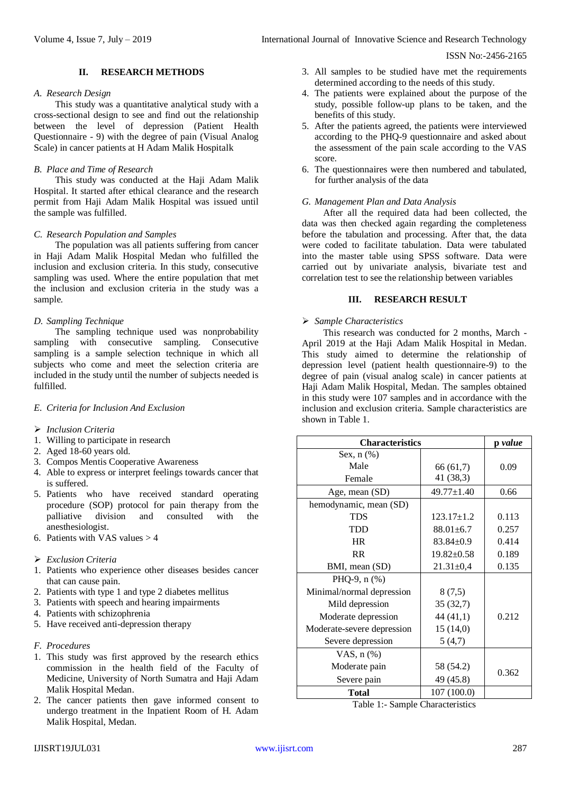#### **II. RESEARCH METHODS**

#### *A. Research Design*

This study was a quantitative analytical study with a cross-sectional design to see and find out the relationship between the level of depression (Patient Health Questionnaire - 9) with the degree of pain (Visual Analog Scale) in cancer patients at H Adam Malik Hospitalk

## *B. Place and Time of Research*

This study was conducted at the Haji Adam Malik Hospital. It started after ethical clearance and the research permit from Haji Adam Malik Hospital was issued until the sample was fulfilled.

#### *C. Research Population and Samples*

The population was all patients suffering from cancer in Haji Adam Malik Hospital Medan who fulfilled the inclusion and exclusion criteria. In this study, consecutive sampling was used. Where the entire population that met the inclusion and exclusion criteria in the study was a sample.

#### *D. Sampling Technique*

The sampling technique used was nonprobability sampling with consecutive sampling. Consecutive sampling is a sample selection technique in which all subjects who come and meet the selection criteria are included in the study until the number of subjects needed is fulfilled.

#### *E. Criteria for Inclusion And Exclusion*

- *Inclusion Criteria*
- 1. Willing to participate in research
- 2. Aged 18-60 years old.
- 3. Compos Mentis Cooperative Awareness
- 4. Able to express or interpret feelings towards cancer that is suffered.
- 5. Patients who have received standard operating procedure (SOP) protocol for pain therapy from the palliative division and consulted with the anesthesiologist.
- 6. Patients with VAS values  $> 4$
- *Exclusion Criteria*
- 1. Patients who experience other diseases besides cancer that can cause pain.
- 2. Patients with type 1 and type 2 diabetes mellitus
- 3. Patients with speech and hearing impairments
- 4. Patients with schizophrenia
- 5. Have received anti-depression therapy
- *F. Procedures*
- 1. This study was first approved by the research ethics commission in the health field of the Faculty of Medicine, University of North Sumatra and Haji Adam Malik Hospital Medan.
- 2. The cancer patients then gave informed consent to undergo treatment in the Inpatient Room of H. Adam Malik Hospital, Medan.
- IJISRT19JUL031 [www.ijisrt.com](http://www.ijisrt.com/) 287
- 3. All samples to be studied have met the requirements determined according to the needs of this study.
- 4. The patients were explained about the purpose of the study, possible follow-up plans to be taken, and the benefits of this study.
- 5. After the patients agreed, the patients were interviewed according to the PHQ-9 questionnaire and asked about the assessment of the pain scale according to the VAS score.
- 6. The questionnaires were then numbered and tabulated, for further analysis of the data

# *G. Management Plan and Data Analysis*

After all the required data had been collected, the data was then checked again regarding the completeness before the tabulation and processing. After that, the data were coded to facilitate tabulation. Data were tabulated into the master table using SPSS software. Data were carried out by univariate analysis, bivariate test and correlation test to see the relationship between variables

#### **III. RESEARCH RESULT**

#### *Sample Characteristics*

This research was conducted for 2 months, March - April 2019 at the Haji Adam Malik Hospital in Medan. This study aimed to determine the relationship of depression level (patient health questionnaire-9) to the degree of pain (visual analog scale) in cancer patients at Haji Adam Malik Hospital, Medan. The samples obtained in this study were 107 samples and in accordance with the inclusion and exclusion criteria. Sample characteristics are shown in Table 1.

| <b>Characteristics</b>     | p value          |       |  |
|----------------------------|------------------|-------|--|
| Sex, $n$ $(\%)$            |                  |       |  |
| Male                       | 66 (61,7)        | 0.09  |  |
| Female                     | 41 (38,3)        |       |  |
| Age, mean (SD)             | $49.77 \pm 1.40$ | 0.66  |  |
| hemodynamic, mean (SD)     |                  |       |  |
| <b>TDS</b>                 | $123.17 \pm 1.2$ | 0.113 |  |
| TDD                        | $88.01 \pm 6.7$  | 0.257 |  |
| <b>HR</b>                  | $83.84 \pm 0.9$  | 0.414 |  |
| <b>RR</b>                  | $19.82 \pm 0.58$ | 0.189 |  |
| BMI, mean (SD)             | $21.31 \pm 0.4$  | 0.135 |  |
| PHQ-9, $n$ $%$ )           |                  |       |  |
| Minimal/normal depression  | 8(7,5)           |       |  |
| Mild depression            | 35(32,7)         |       |  |
| Moderate depression        | 44 (41,1)        | 0.212 |  |
| Moderate-severe depression | 15(14,0)         |       |  |
| Severe depression          | 5(4,7)           |       |  |
| VAS, $n$ $(\%)$            |                  |       |  |
| Moderate pain              | 58 (54.2)        |       |  |
| Severe pain                | 49 (45.8)        | 0.362 |  |
| Total                      | 107 (100.0)      |       |  |

Table 1:- Sample Characteristics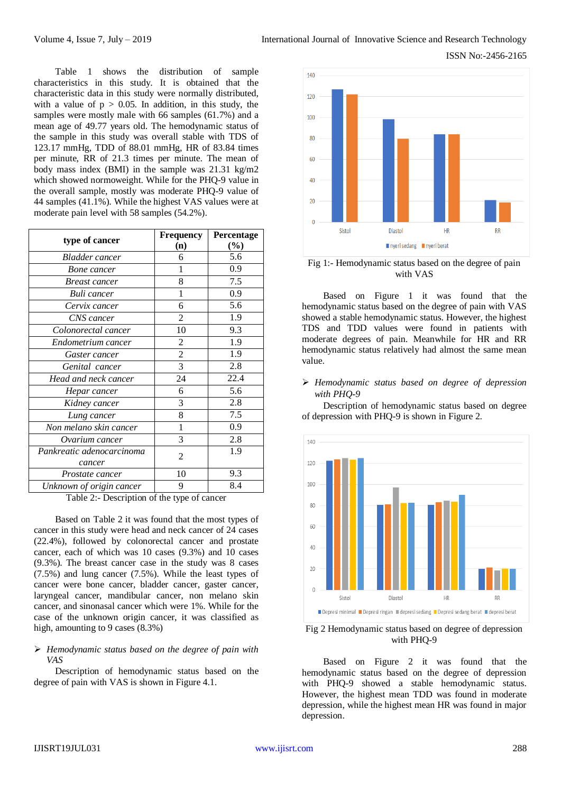ISSN No:-2456-2165

Table 1 shows the distribution of sample characteristics in this study. It is obtained that the characteristic data in this study were normally distributed, with a value of  $p > 0.05$ . In addition, in this study, the samples were mostly male with 66 samples (61.7%) and a mean age of 49.77 years old. The hemodynamic status of the sample in this study was overall stable with TDS of 123.17 mmHg, TDD of 88.01 mmHg, HR of 83.84 times per minute, RR of 21.3 times per minute. The mean of body mass index (BMI) in the sample was 21.31 kg/m2 which showed normoweight. While for the PHQ-9 value in the overall sample, mostly was moderate PHQ-9 value of 44 samples (41.1%). While the highest VAS values were at moderate pain level with 58 samples (54.2%).

|                           | <b>Frequency</b> | Percentage |
|---------------------------|------------------|------------|
| type of cancer            | (n)              | $(\%)$     |
| <b>Bladder</b> cancer     | 6                | 5.6        |
| Bone cancer               | 1                | 0.9        |
| <i>Breast cancer</i>      | 8                | 7.5        |
| Buli cancer               | 1                | 0.9        |
| Cervix cancer             | 6                | 5.6        |
| CNS cancer                | 2                | 1.9        |
| Colonorectal cancer       | 10               | 9.3        |
| Endometrium cancer        | 2                | 1.9        |
| Gaster cancer             | $\overline{2}$   | 1.9        |
| Genital cancer            | 3                | 2.8        |
| Head and neck cancer      | 24               | 22.4       |
| Hepar cancer              | 6                | 5.6        |
| Kidney cancer             | 3                | 2.8        |
| Lung cancer               | 8                | 7.5        |
| Non melano skin cancer    | 1                | 0.9        |
| Ovarium cancer            | 3                | 2.8        |
| Pankreatic adenocarcinoma | $\overline{2}$   | 1.9        |
| cancer                    |                  |            |
| Prostate cancer           | 10               | 9.3        |
| Unknown of origin cancer  | 9                | 8.4        |

Table 2:- Description of the type of cancer

Based on Table 2 it was found that the most types of cancer in this study were head and neck cancer of 24 cases (22.4%), followed by colonorectal cancer and prostate cancer, each of which was 10 cases (9.3%) and 10 cases (9.3%). The breast cancer case in the study was 8 cases (7.5%) and lung cancer (7.5%). While the least types of cancer were bone cancer, bladder cancer, gaster cancer, laryngeal cancer, mandibular cancer, non melano skin cancer, and sinonasal cancer which were 1%. While for the case of the unknown origin cancer, it was classified as high, amounting to 9 cases (8.3%)

## *Hemodynamic status based on the degree of pain with VAS*

Description of hemodynamic status based on the degree of pain with VAS is shown in Figure 4.1.



#### Fig 1:- Hemodynamic status based on the degree of pain with VAS

Based on Figure 1 it was found that the hemodynamic status based on the degree of pain with VAS showed a stable hemodynamic status. However, the highest TDS and TDD values were found in patients with moderate degrees of pain. Meanwhile for HR and RR hemodynamic status relatively had almost the same mean value.

# *Hemodynamic status based on degree of depression with PHQ-9*

Description of hemodynamic status based on degree of depression with PHQ-9 is shown in Figure 2.



#### Fig 2 Hemodynamic status based on degree of depression with PHQ-9

Based on Figure 2 it was found that the hemodynamic status based on the degree of depression with PHQ-9 showed a stable hemodynamic status. However, the highest mean TDD was found in moderate depression, while the highest mean HR was found in major depression.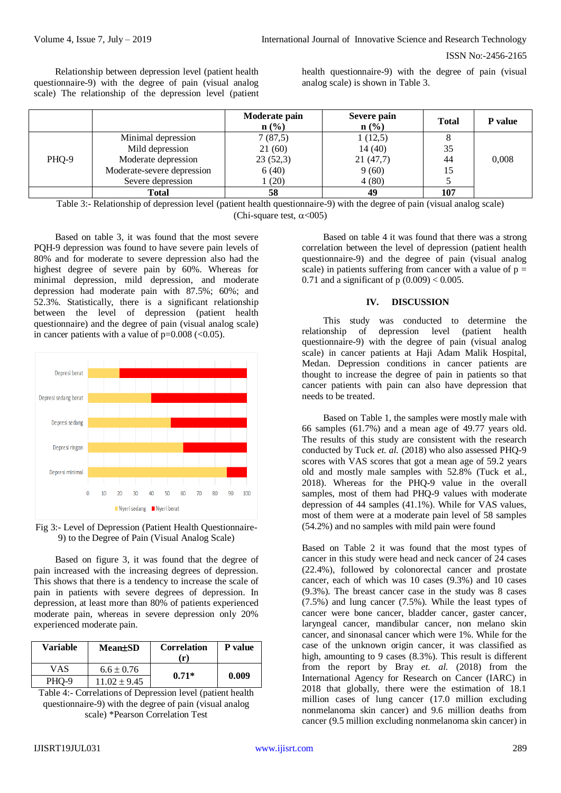Relationship between depression level (patient health questionnaire-9) with the degree of pain (visual analog scale) The relationship of the depression level (patient health questionnaire-9) with the degree of pain (visual analog scale) is shown in Table 3.

|       |                            | Moderate pain<br>$n\left(\frac{0}{0}\right)$ | Severe pain<br>$n$ (%) | <b>Total</b> | <b>P</b> value |
|-------|----------------------------|----------------------------------------------|------------------------|--------------|----------------|
| PHQ-9 | Minimal depression         | 7(87,5)                                      | 1(12,5)                |              |                |
|       | Mild depression            | 21(60)                                       | 14(40)                 | 35           |                |
|       | Moderate depression        | 23(52,3)                                     | 21(47,7)               | 44           | 0,008          |
|       | Moderate-severe depression | 6(40)                                        | 9(60)                  | 15           |                |
|       | Severe depression          | 1(20)                                        | 4(80)                  |              |                |
|       | Total                      | 58                                           | 49                     | 107          |                |

Table 3:- Relationship of depression level (patient health questionnaire-9) with the degree of pain (visual analog scale) (Chi-square test,  $\alpha$ <005)

Based on table 3, it was found that the most severe PQH-9 depression was found to have severe pain levels of 80% and for moderate to severe depression also had the highest degree of severe pain by 60%. Whereas for minimal depression, mild depression, and moderate depression had moderate pain with 87.5%; 60%; and 52.3%. Statistically, there is a significant relationship between the level of depression (patient health questionnaire) and the degree of pain (visual analog scale) in cancer patients with a value of  $p=0.008$  (<0.05).



Fig 3:- Level of Depression (Patient Health Questionnaire-9) to the Degree of Pain (Visual Analog Scale)

Based on figure 3, it was found that the degree of pain increased with the increasing degrees of depression. This shows that there is a tendency to increase the scale of pain in patients with severe degrees of depression. In depression, at least more than 80% of patients experienced moderate pain, whereas in severe depression only 20% experienced moderate pain.

| <b>Variable</b> | <b>Mean</b> tSD  | <b>Correlation</b><br>$\mathbf{r}$ | <b>P</b> value |
|-----------------|------------------|------------------------------------|----------------|
| VAS             | $6.6 \pm 0.76$   | $0.71*$                            | 0.009          |
| PHO-9           | $11.02 \pm 9.45$ |                                    |                |

Table 4:- Correlations of Depression level (patient health questionnaire-9) with the degree of pain (visual analog scale) \*Pearson Correlation Test

Based on table 4 it was found that there was a strong correlation between the level of depression (patient health questionnaire-9) and the degree of pain (visual analog scale) in patients suffering from cancer with a value of  $p =$ 0.71 and a significant of  $p(0.009) < 0.005$ .

#### **IV. DISCUSSION**

This study was conducted to determine the relationship of depression level (patient health questionnaire-9) with the degree of pain (visual analog scale) in cancer patients at Haji Adam Malik Hospital, Medan. Depression conditions in cancer patients are thought to increase the degree of pain in patients so that cancer patients with pain can also have depression that needs to be treated.

Based on Table 1, the samples were mostly male with 66 samples (61.7%) and a mean age of 49.77 years old. The results of this study are consistent with the research conducted by Tuck *et. al.* (2018) who also assessed PHQ-9 scores with VAS scores that got a mean age of 59.2 years old and mostly male samples with 52.8% (Tuck et al., 2018). Whereas for the PHQ-9 value in the overall samples, most of them had PHQ-9 values with moderate depression of 44 samples (41.1%). While for VAS values, most of them were at a moderate pain level of 58 samples (54.2%) and no samples with mild pain were found

Based on Table 2 it was found that the most types of cancer in this study were head and neck cancer of 24 cases (22.4%), followed by colonorectal cancer and prostate cancer, each of which was 10 cases (9.3%) and 10 cases (9.3%). The breast cancer case in the study was 8 cases (7.5%) and lung cancer (7.5%). While the least types of cancer were bone cancer, bladder cancer, gaster cancer, laryngeal cancer, mandibular cancer, non melano skin cancer, and sinonasal cancer which were 1%. While for the case of the unknown origin cancer, it was classified as high, amounting to 9 cases (8.3%). This result is different from the report by Bray *et. al.* (2018) from the International Agency for Research on Cancer (IARC) in 2018 that globally, there were the estimation of 18.1 million cases of lung cancer (17.0 million excluding nonmelanoma skin cancer) and 9.6 million deaths from cancer (9.5 million excluding nonmelanoma skin cancer) in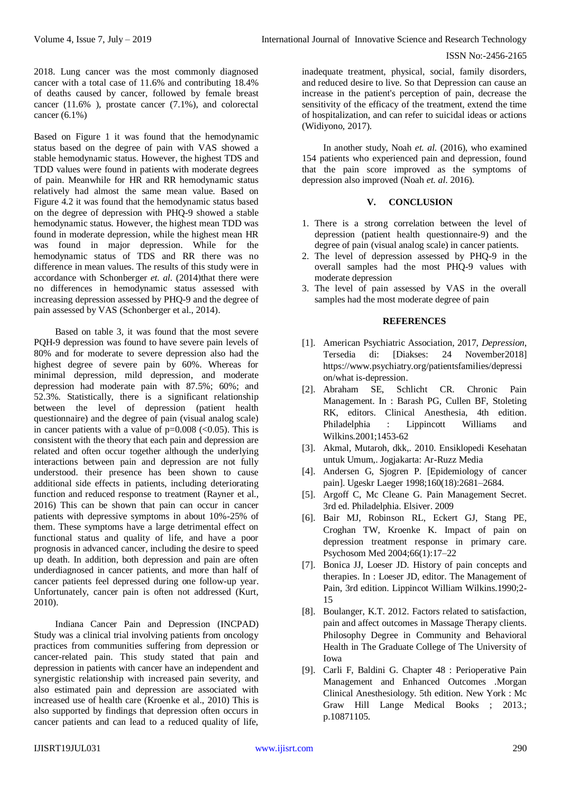2018. Lung cancer was the most commonly diagnosed cancer with a total case of 11.6% and contributing 18.4% of deaths caused by cancer, followed by female breast cancer (11.6% ), prostate cancer (7.1%), and colorectal cancer (6.1%)

Based on Figure 1 it was found that the hemodynamic status based on the degree of pain with VAS showed a stable hemodynamic status. However, the highest TDS and TDD values were found in patients with moderate degrees of pain. Meanwhile for HR and RR hemodynamic status relatively had almost the same mean value. Based on Figure 4.2 it was found that the hemodynamic status based on the degree of depression with PHQ-9 showed a stable hemodynamic status. However, the highest mean TDD was found in moderate depression, while the highest mean HR was found in major depression. While for the hemodynamic status of TDS and RR there was no difference in mean values. The results of this study were in accordance with Schonberger *et. al.* (2014)that there were no differences in hemodynamic status assessed with increasing depression assessed by PHQ-9 and the degree of pain assessed by VAS (Schonberger et al., 2014).

Based on table 3, it was found that the most severe PQH-9 depression was found to have severe pain levels of 80% and for moderate to severe depression also had the highest degree of severe pain by 60%. Whereas for minimal depression, mild depression, and moderate depression had moderate pain with 87.5%; 60%; and 52.3%. Statistically, there is a significant relationship between the level of depression (patient health questionnaire) and the degree of pain (visual analog scale) in cancer patients with a value of  $p=0.008$  (<0.05). This is consistent with the theory that each pain and depression are related and often occur together although the underlying interactions between pain and depression are not fully understood. their presence has been shown to cause additional side effects in patients, including deteriorating function and reduced response to treatment (Rayner et al., 2016) This can be shown that pain can occur in cancer patients with depressive symptoms in about 10%-25% of them. These symptoms have a large detrimental effect on functional status and quality of life, and have a poor prognosis in advanced cancer, including the desire to speed up death. In addition, both depression and pain are often underdiagnosed in cancer patients, and more than half of cancer patients feel depressed during one follow-up year. Unfortunately, cancer pain is often not addressed (Kurt, 2010).

Indiana Cancer Pain and Depression (INCPAD) Study was a clinical trial involving patients from oncology practices from communities suffering from depression or cancer-related pain. This study stated that pain and depression in patients with cancer have an independent and synergistic relationship with increased pain severity, and also estimated pain and depression are associated with increased use of health care (Kroenke et al., 2010) This is also supported by findings that depression often occurs in cancer patients and can lead to a reduced quality of life,

inadequate treatment, physical, social, family disorders, and reduced desire to live. So that Depression can cause an increase in the patient's perception of pain, decrease the sensitivity of the efficacy of the treatment, extend the time of hospitalization, and can refer to suicidal ideas or actions (Widiyono, 2017).

In another study, Noah *et. al.* (2016), who examined 154 patients who experienced pain and depression, found that the pain score improved as the symptoms of depression also improved (Noah *et. al*. 2016).

## **V. CONCLUSION**

- 1. There is a strong correlation between the level of depression (patient health questionnaire-9) and the degree of pain (visual analog scale) in cancer patients.
- 2. The level of depression assessed by PHQ-9 in the overall samples had the most PHQ-9 values with moderate depression
- 3. The level of pain assessed by VAS in the overall samples had the most moderate degree of pain

# **REFERENCES**

- [1]. American Psychiatric Association, 2017, *Depression*, Tersedia di: [\[D](http://www.who.int/mediacentre/factsheets/fs312/en/index.html%20%5b%20Accesed:%2022)iakses: 24 November2018] [https://www.psychiatry.org/patientsfamilies/depressi](https://www.psychiatry.org/patientsfamilies/depression/what%20is-depression) [on/what is-depression.](https://www.psychiatry.org/patientsfamilies/depression/what%20is-depression)
- [2]. Abraham SE, Schlicht CR. Chronic Pain Management. In : Barash PG, Cullen BF, Stoleting RK, editors. Clinical Anesthesia, 4th edition. Philadelphia : Lippincott Williams and Wilkins.2001;1453-62
- [3]. Akmal, Mutaroh, dkk,. 2010. Ensiklopedi Kesehatan untuk Umum,. Jogjakarta: Ar-Ruzz Media
- [4]. Andersen G, Sjogren P. [Epidemiology of cancer pain]. Ugeskr Laeger 1998;160(18):2681–2684.
- [5]. Argoff C, Mc Cleane G. Pain Management Secret. 3rd ed. Philadelphia. Elsiver. 2009
- [6]. Bair MJ, Robinson RL, Eckert GJ, Stang PE, Croghan TW, Kroenke K. Impact of pain on depression treatment response in primary care. Psychosom Med 2004;66(1):17–22
- [7]. Bonica JJ, Loeser JD. History of pain concepts and therapies. In : Loeser JD, editor. The Management of Pain, 3rd edition. Lippincot William Wilkins.1990;2- 15
- [8]. Boulanger, K.T. 2012. Factors related to satisfaction, pain and affect outcomes in Massage Therapy clients. Philosophy Degree in Community and Behavioral Health in The Graduate College of The University of Iowa
- [9]. Carli F, Baldini G. Chapter 48 : Perioperative Pain Management and Enhanced Outcomes .Morgan Clinical Anesthesiology. 5th edition. New York : Mc Graw Hill Lange Medical Books ; 2013.; p.10871105.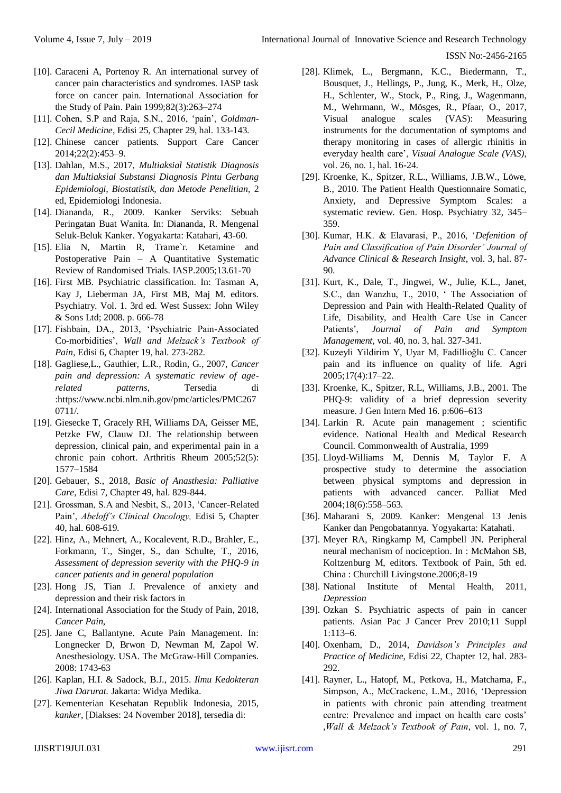- [10]. Caraceni A, Portenoy R. An international survey of cancer pain characteristics and syndromes. IASP task force on cancer pain. International Association for the Study of Pain. Pain 1999;82(3):263–274
- [11]. Cohen, S.P and Raja, S.N., 2016, 'pain', *Goldman-Cecil Medicine*, Edisi 25, Chapter 29, hal. 133-143.
- [12]. Chinese cancer patients. Support Care Cancer 2014;22(2):453–9.
- [13]. Dahlan, M.S., 2017, *Multiaksial Statistik Diagnosis dan Multiaksial Substansi Diagnosis Pintu Gerbang Epidemiologi, Biostatistik, dan Metode Penelitian,* 2 ed, Epidemiologi Indonesia.
- [14]. Diananda, R., 2009. Kanker Serviks: Sebuah Peringatan Buat Wanita. In: Diananda, R. Mengenal Seluk-Beluk Kanker. Yogyakarta: Katahari, 43-60.
- [15]. Elia N, Martin R, Trame`r. Ketamine and Postoperative Pain - A Quantitative Systematic Review of Randomised Trials. IASP.2005;13.61-70
- [16]. First MB. Psychiatric classification. In: Tasman A, Kay J, Lieberman JA, First MB, Maj M. editors. Psychiatry. Vol. 1. 3rd ed. West Sussex: John Wiley & Sons Ltd; 2008. p. 666-78
- [17]. Fishbain, DA., 2013, 'Psychiatric Pain-Associated Co-morbidities', *Wall and Melzack's Textbook of Pain*, Edisi 6, Chapter 19, hal. 273-282.
- [18]. Gagliese,L., Gauthier, L.R., Rodin, G., 2007, *Cancer pain and depression: A systematic review of agerelated patterns*, Tersedia di [:https://www.ncbi.nlm.nih.gov/pmc/articles/PMC267](https://www.ncbi.nlm.nih.gov/pmc/articles/PMC2670711/) [0711/.](https://www.ncbi.nlm.nih.gov/pmc/articles/PMC2670711/)
- [19]. Giesecke T, Gracely RH, Williams DA, Geisser ME, Petzke FW, Clauw DJ. The relationship between depression, clinical pain, and experimental pain in a chronic pain cohort. Arthritis Rheum 2005;52(5): 1577–1584
- [20]. Gebauer, S., 2018, *Basic of Anasthesia: Palliative Care*, Edisi 7, Chapter 49, hal. 829-844.
- [21]. Grossman, S.A and Nesbit, S., 2013, 'Cancer-Related Pain', *Abeloff's Clinical Oncology,* Edisi 5, Chapter 40, hal. 608-619.
- [22]. Hinz, A., Mehnert, A., Kocalevent, R.D., Brahler, E., Forkmann, T., Singer, S., dan Schulte, T., 2016, *Assessment of depression severity with the PHQ-9 in cancer patients and in general population*
- [23]. Hong JS, Tian J. Prevalence of anxiety and depression and their risk factors in
- [24]. International Association for the Study of Pain, 2018, *Cancer Pain,*
- [25]. Jane C, Ballantyne. Acute Pain Management. In: Longnecker D, Brwon D, Newman M, Zapol W. Anesthesiology. USA. The McGraw-Hill Companies. 2008: 1743-63
- [26]. Kaplan, H.I. & Sadock, B.J., 2015. *Ilmu Kedokteran Jiwa Darurat.* Jakarta: Widya Medika.
- [27]. Kementerian Kesehatan Republik Indonesia, 2015, *kanker,* [\[D](http://www.who.int/mediacentre/factsheets/fs312/en/index.html%20%5b%20Accesed:%2022)iakses: 24 November 2018], tersedia di:
- [28]. Klimek, L., Bergmann, K.C., Biedermann, T., Bousquet, J., Hellings, P., Jung, K., Merk, H., Olze, H., Schlenter, W., Stock, P., Ring, J., Wagenmann, M., Wehrmann, W., Mösges, R., Pfaar, O., 2017, Visual analogue scales (VAS): Measuring instruments for the documentation of symptoms and therapy monitoring in cases of allergic rhinitis in everyday health care', *Visual Analogue Scale (VAS)*, vol. 26, no. 1, hal. 16-24.
- [29]. Kroenke, K., Spitzer, R.L., Williams, J.B.W., Löwe, B., 2010. The Patient Health Questionnaire Somatic, Anxiety, and Depressive Symptom Scales: a systematic review. Gen. Hosp. Psychiatry 32, 345– 359.
- [30]. Kumar, H.K. & Elavarasi, P., 2016, '*Defenition of Pain and Classification of Pain Disorder' Journal of Advance Clinical & Research Insight*, vol. 3, hal. 87- 90.
- [31]. Kurt, K., Dale, T., Jingwei, W., Julie, K.L., Janet, S.C., dan Wanzhu, T., 2010, ' The Association of Depression and Pain with Health-Related Quality of Life, Disability, and Health Care Use in Cancer Patients', *Journal of Pain and Symptom Management*, vol. 40, no. 3, hal. 327-341.
- [32]. Kuzeyli Yildirim Y, Uyar M, Fadillioğlu C. Cancer pain and its influence on quality of life. Agri 2005;17(4):17–22.
- [33]. Kroenke, K., Spitzer, R.L, Williams, J.B., 2001. The PHQ-9: validity of a brief depression severity measure. J Gen Intern Med 16. p:606–613
- [34]. Larkin R. Acute pain management ; scientific evidence. National Health and Medical Research Council. Commonwealth of Australia, 1999
- [35]. Lloyd-Williams M, Dennis M, Taylor F. A prospective study to determine the association between physical symptoms and depression in patients with advanced cancer. Palliat Med 2004;18(6):558–563.
- [36]. Maharani S, 2009. Kanker: Mengenal 13 Jenis Kanker dan Pengobatannya. Yogyakarta: Katahati.
- [37]. Meyer RA, Ringkamp M, Campbell JN. Peripheral neural mechanism of nociception. In : McMahon SB, Koltzenburg M, editors. Textbook of Pain, 5th ed. China : Churchill Livingstone.2006;8-19
- [38]. National Institute of Mental Health, 2011, *Depression*
- [39]. Ozkan S. Psychiatric aspects of pain in cancer patients. Asian Pac J Cancer Prev 2010;11 Suppl 1:113–6.
- [40]. Oxenham, D., 2014, *Davidson's Principles and Practice of Medicine*, Edisi 22, Chapter 12, hal. 283- 292.
- [41]. Rayner, L., Hatopf, M., Petkova, H., Matchama, F., Simpson, A., McCrackenc, L.M., 2016, 'Depression in patients with chronic pain attending treatment centre: Prevalence and impact on health care costs' ,*Wall & Melzack's Textbook of Pain*, vol. 1, no. 7,